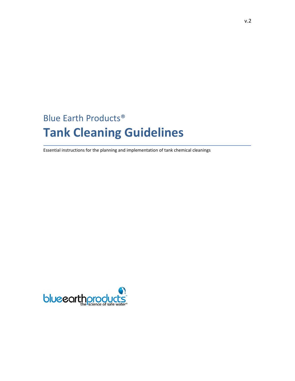# Blue Earth Products® **Tank Cleaning Guidelines**

Essential instructions for the planning and implementation of tank chemical cleanings

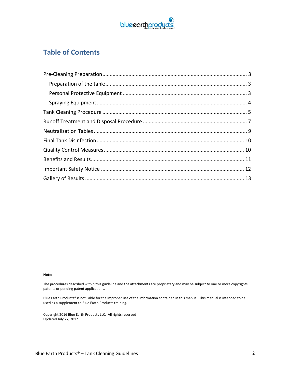

### **Table of Contents**

#### **Note:**

The procedures described within this guideline and the attachments are proprietary and may be subject to one or more copyrights, patents or pending patent applications.

Blue Earth Products® is not liable for the improper use of the information contained in this manual. This manual is intended to be used as a supplement to Blue Earth Products training.

Copyright 2016 Blue Earth Products LLC. All rights reserved Updated July 27, 2017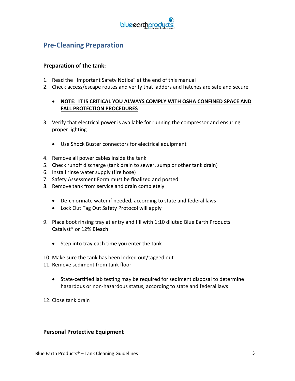

### **Pre‐Cleaning Preparation**

#### **Preparation of the tank:**

- 1. Read the "Important Safety Notice" at the end of this manual
- 2. Check access/escape routes and verify that ladders and hatches are safe and secure

#### **NOTE: IT IS CRITICAL YOU ALWAYS COMPLY WITH OSHA CONFINED SPACE AND FALL PROTECTION PROCEDURES**

- 3. Verify that electrical power is available for running the compressor and ensuring proper lighting
	- Use Shock Buster connectors for electrical equipment
- 4. Remove all power cables inside the tank
- 5. Check runoff discharge (tank drain to sewer, sump or other tank drain)
- 6. Install rinse water supply (fire hose)
- 7. Safety Assessment Form must be finalized and posted
- 8. Remove tank from service and drain completely
	- De-chlorinate water if needed, according to state and federal laws
	- Lock Out Tag Out Safety Protocol will apply
- 9. Place boot rinsing tray at entry and fill with 1:10 diluted Blue Earth Products Catalyst® or 12% Bleach
	- Step into tray each time you enter the tank
- 10. Make sure the tank has been locked out/tagged out
- 11. Remove sediment from tank floor
	- State-certified lab testing may be required for sediment disposal to determine hazardous or non-hazardous status, according to state and federal laws
- 12. Close tank drain

#### **Personal Protective Equipment**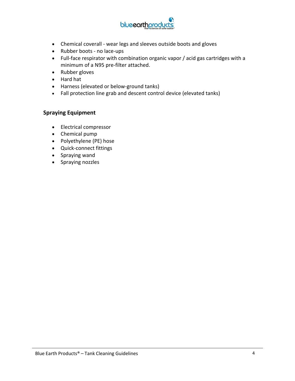

- Chemical coverall ‐ wear legs and sleeves outside boots and gloves
- Rubber boots no lace-ups
- Full-face respirator with combination organic vapor / acid gas cartridges with a minimum of a N95 pre-filter attached.
- Rubber gloves
- Hard hat
- Harness (elevated or below-ground tanks)
- Fall protection line grab and descent control device (elevated tanks)

#### **Spraying Equipment**

- Electrical compressor
- Chemical pump
- Polyethylene (PE) hose
- Quick‐connect fittings
- Spraying wand
- Spraying nozzles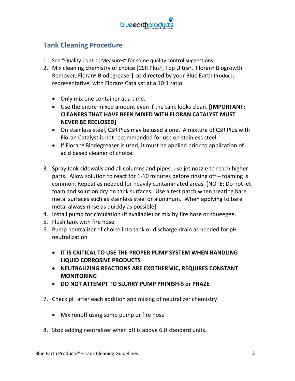

### **Tank Cleaning Procedure**

- 1. See "Quality Control Measures" for some quality control suggestions.
- 2. Mix cleaning chemistry of choice [CSR Plus**®**, Top Ultra**®**, Floran**®** Biogrowth Remover, Floran**®** Biodegreaser] as directed by your Blue Earth Products representative, with Floran**®** Catalyst at a 10:1 ratio
	- Only mix one container at a time.
	- Use the entire mixed amount even if the tank looks clean. **[IMPORTANT: CLEANERS THAT HAVE BEEN MIXED WITH FLORAN CATALYST MUST NEVER BE RECLOSED]**
	- On stainless steel, CSR Plus may be used alone. A mixture of CSR Plus with Floran Catalyst is not recommended for use on stainless steel.
	- If Floran**®** Biodegreaser is used; it must be applied prior to application of acid based cleaner of choice.
- 3. Spray tank sidewalls and all columns and pipes, use jet nozzle to reach higher parts. Allow solution to react for 1‐10 minutes before rinsing off – foaming is common. Repeat as needed for heavily contaminated areas. [NOTE: Do not let foam and solution dry on tank surfaces. Use a test patch when treating bare metal surfaces such as stainless steel or aluminum. When applying to bare metal always rinse as quickly as possible]
- 4. Install pump for circulation (if available) or mix by fire hose or squeegee.
- 5. Flush tank with fire hose
- 6. Pump neutralizer of choice into tank or discharge drain as needed for pH neutralization
	- **IT IS CRITICAL TO USE THE PROPER PUMP SYSTEM WHEN HANDLING LIQUID CORROSIVE PRODUCTS**
	- **NEUTRALIZING REACTIONS ARE EXOTHERMIC, REQUIRES CONSTANT MONITORING**
	- **DO NOT ATTEMPT TO SLURRY PUMP PHINISH‐S or PHAZE**
- 7. Check pH after each addition and mixing of neutralizer chemistry
	- Mix runoff using sump pump or fire hose
- 8. Stop adding neutralizer when pH is above 6.0 standard units.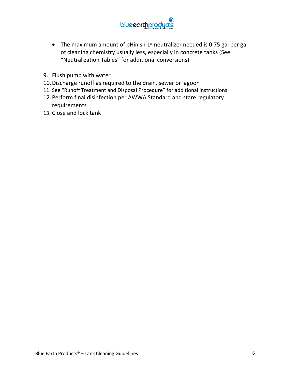

- The maximum amount of pHinish‐L**®** neutralizer needed is 0.75 gal per gal of cleaning chemistry usually less, especially in concrete tanks (See "Neutralization Tables" for additional conversions)
- 9. Flush pump with water
- 10.Discharge runoff as required to the drain, sewer or lagoon
- 11. See "Runoff Treatment and Disposal Procedure" for additional instructions
- 12.Perform final disinfection per AWWA Standard and stare regulatory requirements
- 13. Close and lock tank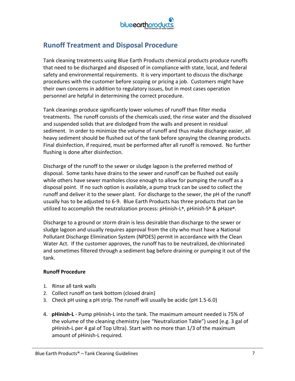

### **Runoff Treatment and Disposal Procedure**

Tank cleaning treatments using Blue Earth Products chemical products produce runoffs that need to be discharged and disposed of in compliance with state, local, and federal safety and environmental requirements. It is very important to discuss the discharge procedures with the customer before scoping or pricing a job. Customers might have their own concerns in addition to regulatory issues, but in most cases operation personnel are helpful in determining the correct procedure.

Tank cleanings produce significantly lower volumes of runoff than filter media treatments. The runoff consists of the chemicals used, the rinse water and the dissolved and suspended solids that are dislodged from the walls and present in residual sediment. In order to minimize the volume of runoff and thus make discharge easier, all heavy sediment should be flushed out of the tank before spraying the cleaning products. Final disinfection, if required, must be performed after all runoff is removed. No further flushing is done after disinfection.

Discharge of the runoff to the sewer or sludge lagoon is the preferred method of disposal. Some tanks have drains to the sewer and runoff can be flushed out easily while others have sewer manholes close enough to allow for pumping the runoff as a disposal point. If no such option is available, a pump truck can be used to collect the runoff and deliver it to the sewer plant. For discharge to the sewer, the pH of the runoff usually has to be adjusted to 6‐9. Blue Earth Products has three products that can be utilized to accomplish the neutralization process: pHinish‐L**®**, pHinish‐S**®** & pHaze**®**.

Discharge to a ground or storm drain is less desirable than discharge to the sewer or sludge lagoon and usually requires approval from the city who must have a National Pollutant Discharge Elimination System (NPDES) permit in accordance with the Clean Water Act. If the customer approves, the runoff has to be neutralized, de‐chlorinated and sometimes filtered through a sediment bag before draining or pumping it out of the tank.

#### **Runoff Procedure**

- 1. Rinse all tank walls
- 2. Collect runoff on tank bottom (closed drain)
- 3. Check pH using a pH strip. The runoff will usually be acidic (pH 1.5‐6.0)
- 4. **pHinish‐L** ‐ Pump pHinish‐L into the tank. The maximum amount needed is 75% of the volume of the cleaning chemistry (see "Neutralization Table") used (e.g. 3 gal of pHinish‐L per 4 gal of Top Ultra). Start with no more than 1/3 of the maximum amount of pHinish‐L required.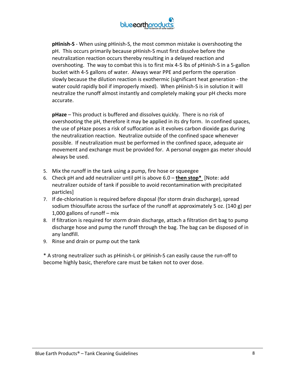

**pHinish‐S** ‐ When using pHinish‐S, the most common mistake is overshooting the pH. This occurs primarily because pHinish‐S must first dissolve before the neutralization reaction occurs thereby resulting in a delayed reaction and overshooting. The way to combat this is to first mix 4‐5 lbs of pHinish‐S in a 5‐gallon bucket with 4‐5 gallons of water. Always wear PPE and perform the operation slowly because the dilution reaction is exothermic (significant heat generation ‐ the water could rapidly boil if improperly mixed). When pHinish-S is in solution it will neutralize the runoff almost instantly and completely making your pH checks more accurate.

**pHaze** – This product is buffered and dissolves quickly. There is no risk of overshooting the pH, therefore it may be applied in its dry form. In confined spaces, the use of pHaze poses a risk of suffocation as it evolves carbon dioxide gas during the neutralization reaction. Neutralize outside of the confined space whenever possible. If neutralization must be performed in the confined space, adequate air movement and exchange must be provided for. A personal oxygen gas meter should always be used.

- 5. Mix the runoff in the tank using a pump, fire hose or squeegee
- 6. Check pH and add neutralizer until pH is above 6.0 **then stop\***  [Note: add neutralizer outside of tank if possible to avoid recontamination with precipitated particles]
- 7. If de‐chlorination is required before disposal (for storm drain discharge), spread sodium thiosulfate across the surface of the runoff at approximately 5 oz. (140 g) per 1,000 gallons of runoff – mix
- 8. If filtration is required for storm drain discharge, attach a filtration dirt bag to pump discharge hose and pump the runoff through the bag. The bag can be disposed of in any landfill.
- 9. Rinse and drain or pump out the tank

\* A strong neutralizer such as pHinish‐L or pHinish‐S can easily cause the run‐off to become highly basic, therefore care must be taken not to over dose.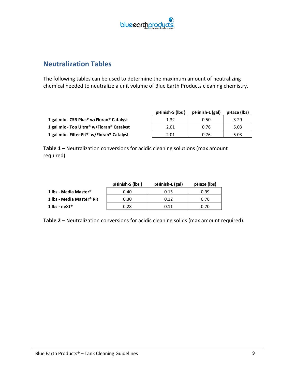

#### **Neutralization Tables**

The following tables can be used to determine the maximum amount of neutralizing chemical needed to neutralize a unit volume of Blue Earth Products cleaning chemistry.

|                                                        | pHinish-S (lbs) | pHinish-L (gal) | pHaze (lbs) |
|--------------------------------------------------------|-----------------|-----------------|-------------|
| 1 gal mix - CSR Plus® w/Floran® Catalyst               | 1.32            | 0.50            | 3.29        |
| 1 gal mix - Top Ultra® w/Floran® Catalyst              | 2.01            | 0.76            | 5.03        |
| 1 gal mix - Filter Fit <sup>®</sup> w/Floran® Catalyst | 2.01            | 0.76            | 5.03        |

**Table 1** – Neutralization conversions for acidic cleaning solutions (max amount required).

|                                      | pHinish-S (lbs) | pHinish-L (gal) | pHaze (lbs) |
|--------------------------------------|-----------------|-----------------|-------------|
| 1 lbs - Media Master <sup>®</sup>    | 0.40            | 0.15            | 0.99        |
| 1 lbs - Media Master <sup>®</sup> RR | 0.30            | 0.12            | 0.76        |
| 1 lbs - neXt®                        | 0.28            | 0.11            | 0.70        |

**Table 2** – Neutralization conversions for acidic cleaning solids (max amount required).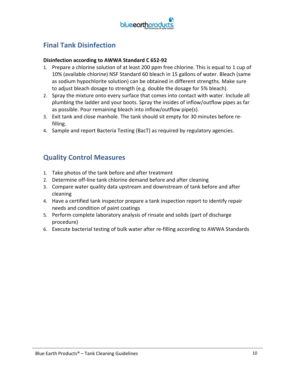

## **Final Tank Disinfection**

#### **Disinfection according to AWWA Standard C 652‐92**

- 1. Prepare a chlorine solution of at least 200 ppm free chlorine. This is equal to 1 cup of 10% (available chlorine) NSF Standard 60 bleach in 15 gallons of water. Bleach (same as sodium hypochlorite solution) can be obtained in different strengths. Make sure to adjust bleach dosage to strength (e.g. double the dosage for 5% bleach).
- 2. Spray the mixture onto every surface that comes into contact with water. Include all plumbing the ladder and your boots. Spray the insides of inflow/outflow pipes as far as possible. Pour remaining bleach into inflow/outflow pipe(s).
- 3. Exit tank and close manhole. The tank should sit empty for 30 minutes before re‐ filling.
- 4. Sample and report Bacteria Testing (BacT) as required by regulatory agencies.

#### **Quality Control Measures**

- 1. Take photos of the tank before and after treatment
- 2. Determine off-line tank chlorine demand before and after cleaning
- 3. Compare water quality data upstream and downstream of tank before and after cleaning
- 4. Have a certified tank inspector prepare a tank inspection report to identify repair needs and condition of paint coatings
- 5. Perform complete laboratory analysis of rinsate and solids (part of discharge procedure)
- 6. Execute bacterial testing of bulk water after re‐filling according to AWWA Standards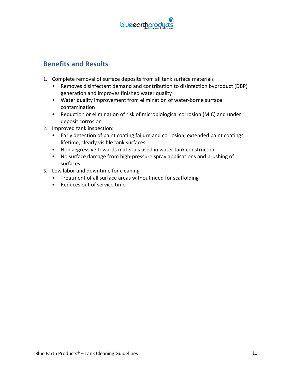

### **Benefits and Results**

- 1. Complete removal of surface deposits from all tank surface materials
	- Removes disinfectant demand and contribution to disinfection byproduct (DBP) generation and improves finished water quality
	- Water quality improvement from elimination of water‐borne surface contamination
	- Reduction or elimination of risk of microbiological corrosion (MIC) and under deposit corrosion
- 2. Improved tank inspection:
	- Early detection of paint coating failure and corrosion, extended paint coatings lifetime, clearly visible tank surfaces
	- Non aggressive towards materials used in water tank construction
	- No surface damage from high‐pressure spray applications and brushing of surfaces
- 3. Low labor and downtime for cleaning
	- Treatment of all surface areas without need for scaffolding
	- Reduces out of service time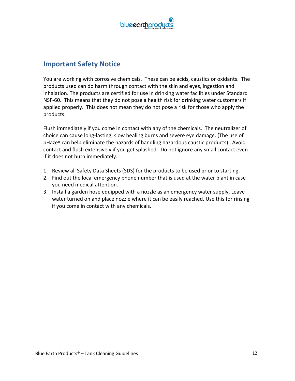

#### **Important Safety Notice**

You are working with corrosive chemicals. These can be acids, caustics or oxidants. The products used can do harm through contact with the skin and eyes, ingestion and inhalation. The products are certified for use in drinking water facilities under Standard NSF-60. This means that they do not pose a health risk for drinking water customers if applied properly. This does not mean they do not pose a risk for those who apply the products.

Flush immediately if you come in contact with any of the chemicals. The neutralizer of choice can cause long‐lasting, slow healing burns and severe eye damage. (The use of pHaze**®** can help eliminate the hazards of handling hazardous caustic products). Avoid contact and flush extensively if you get splashed. Do not ignore any small contact even if it does not burn immediately.

- 1. Review all Safety Data Sheets (SDS) for the products to be used prior to starting.
- 2. Find out the local emergency phone number that is used at the water plant in case you need medical attention.
- 3. Install a garden hose equipped with a nozzle as an emergency water supply. Leave water turned on and place nozzle where it can be easily reached. Use this for rinsing if you come in contact with any chemicals.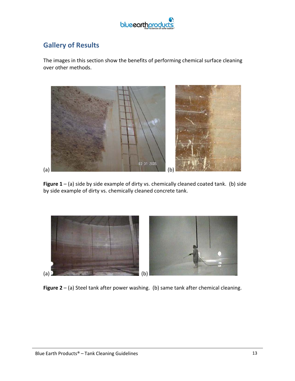

### **Gallery of Results**

The images in this section show the benefits of performing chemical surface cleaning over other methods.



**Figure 1** – (a) side by side example of dirty vs. chemically cleaned coated tank. (b) side by side example of dirty vs. chemically cleaned concrete tank.



**Figure 2** – (a) Steel tank after power washing. (b) same tank after chemical cleaning.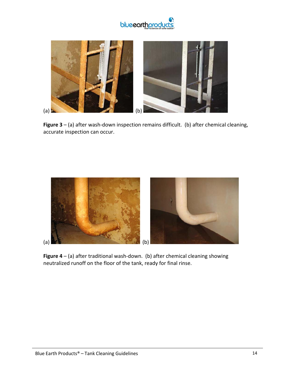



Figure 3 – (a) after wash-down inspection remains difficult. (b) after chemical cleaning, accurate inspection can occur.



**Figure 4** – (a) after traditional wash‐down. (b) after chemical cleaning showing neutralized runoff on the floor of the tank, ready for final rinse.